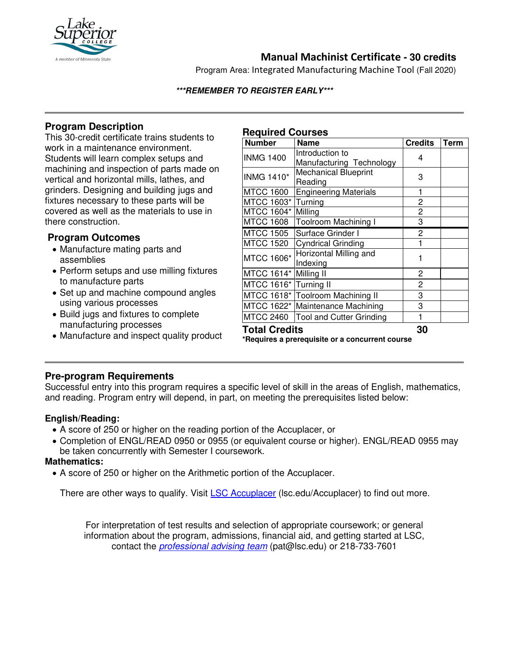

# **Manual Machinist Certificate - 30 credits**

Program Area: Integrated Manufacturing Machine Tool (Fall 2020)

#### **\*\*\*REMEMBER TO REGISTER EARLY\*\*\***

## **Program Description**

This 30-credit certificate trains students to work in a maintenance environment. Students will learn complex setups and machining and inspection of parts made on vertical and horizontal mills, lathes, and grinders. Designing and building jugs and fixtures necessary to these parts will be covered as well as the materials to use in there construction.

## **Program Outcomes**

- Manufacture mating parts and assemblies
- Perform setups and use milling fixtures to manufacture parts
- Set up and machine compound angles using various processes
- Build jugs and fixtures to complete manufacturing processes
- Manufacture and inspect quality product

## **Required Courses**

| <b>Number</b>                                   | <b>Name</b>                      | <b>Credits</b> | <b>Term</b> |
|-------------------------------------------------|----------------------------------|----------------|-------------|
| <b>INMG 1400</b>                                | Introduction to                  | 4              |             |
|                                                 | Manufacturing Technology         |                |             |
| <b>INMG 1410*</b>                               | <b>Mechanical Blueprint</b>      | 3              |             |
|                                                 | Reading                          |                |             |
| <b>MTCC 1600</b>                                | <b>Engineering Materials</b>     | 1              |             |
| MTCC 1603*                                      | Turning                          | 2              |             |
| MTCC 1604*                                      | Milling                          | $\overline{c}$ |             |
| <b>MTCC 1608</b>                                | Toolroom Machining I             | 3              |             |
| <b>MTCC 1505</b>                                | Surface Grinder I                | 2              |             |
| <b>MTCC 1520</b>                                | <b>Cyndrical Grinding</b>        | 1              |             |
| <b>MTCC 1606*</b>                               | Horizontal Milling and           | 1              |             |
|                                                 | Indexing                         |                |             |
| MTCC 1614*                                      | Milling II                       | 2              |             |
| MTCC 1616*                                      | Turning II                       | $\overline{c}$ |             |
|                                                 | MTCC 1618* Toolroom Machining II | 3              |             |
|                                                 | MTCC 1622* Maintenance Machining | 3              |             |
| <b>MTCC 2460</b>                                | <b>Tool and Cutter Grinding</b>  | 1              |             |
| <b>Total Credits</b>                            |                                  | 30             |             |
| *Requires a prerequisite or a concurrent course |                                  |                |             |

## **Pre-program Requirements**

Successful entry into this program requires a specific level of skill in the areas of English, mathematics, and reading. Program entry will depend, in part, on meeting the prerequisites listed below:

#### **English/Reading:**

- A score of 250 or higher on the reading portion of the Accuplacer, or
- Completion of ENGL/READ 0950 or 0955 (or equivalent course or higher). ENGL/READ 0955 may be taken concurrently with Semester I coursework.

#### **Mathematics:**

• A score of 250 or higher on the Arithmetic portion of the Accuplacer.

There are other ways to qualify. Visit **[LSC Accuplacer](https://www.lsc.edu/accuplacer/)** (Isc.edu/Accuplacer) to find out more.

For interpretation of test results and selection of appropriate coursework; or general information about the program, admissions, financial aid, and getting started at LSC, contact the *[professional advising team](mailto:pat@lsc.edu)* (pat@lsc.edu) or 218-733-7601